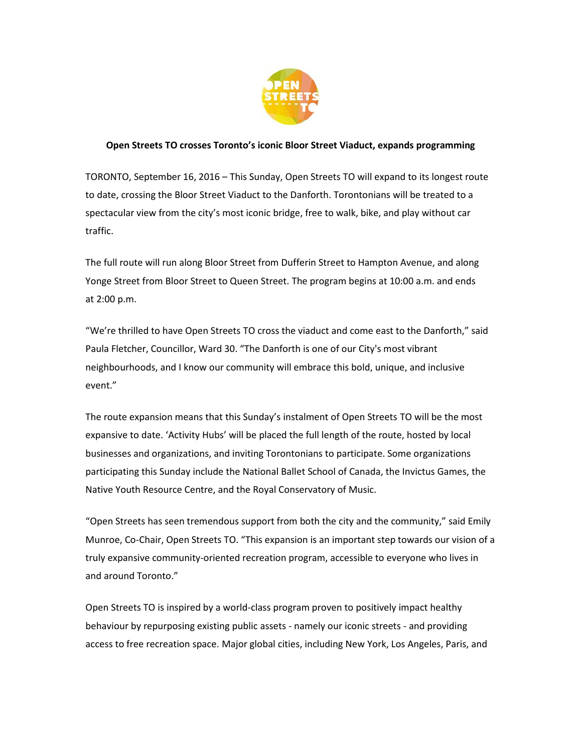

## **Open Streets TO crosses Toronto's iconic Bloor Street Viaduct, expands programming**

TORONTO, September 16, 2016 – This Sunday, Open Streets TO will expand to its longest route to date, crossing the Bloor Street Viaduct to the Danforth. Torontonians will be treated to a spectacular view from the city's most iconic bridge, free to walk, bike, and play without car traffic.

The full route will run along Bloor Street from Dufferin Street to Hampton Avenue, and along Yonge Street from Bloor Street to Queen Street. The program begins at 10:00 a.m. and ends at 2:00 p.m.

"We're thrilled to have Open Streets TO cross the viaduct and come east to the Danforth," said Paula Fletcher, Councillor, Ward 30. "The Danforth is one of our City's most vibrant neighbourhoods, and I know our community will embrace this bold, unique, and inclusive event."

The route expansion means that this Sunday's instalment of Open Streets TO will be the most expansive to date. 'Activity Hubs' will be placed the full length of the route, hosted by local businesses and organizations, and inviting Torontonians to participate. Some organizations participating this Sunday include the National Ballet School of Canada, the Invictus Games, the Native Youth Resource Centre, and the Royal Conservatory of Music.

"Open Streets has seen tremendous support from both the city and the community," said Emily Munroe, Co-Chair, Open Streets TO. "This expansion is an important step towards our vision of a truly expansive community-oriented recreation program, accessible to everyone who lives in and around Toronto."

Open Streets TO is inspired by a world-class program proven to positively impact healthy behaviour by repurposing existing public assets - namely our iconic streets - and providing access to free recreation space. Major global cities, including New York, Los Angeles, Paris, and